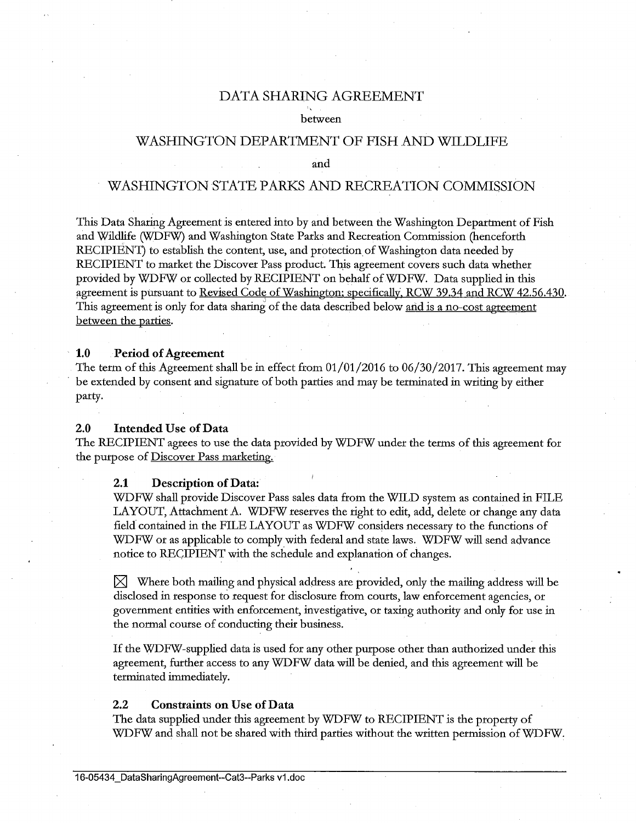## DATA SHARING AGREEMENT

#### between

# WASHINGTON DEPARTMENT OF FISH AND WILDLIFE

and

# WASHINGTON STATE PARKS AND RECREATION COMMISSION

This Data Sharing Agreement is entered into by and between the Washington Department of Fish and Wildlife (WDFW) and Washington State Parks and Recreation Commission (henceforth RECIPIENT) to establish the content, use, and protection of Washington data needed by RECIPIENT to market the Discover Pass product. This agreement covers such data whether provided by WDFW or collected by RECIPIENT on behalf of WDFW. Data supplied in this agreement is pursuant to Revised Code of Washington; specifically, RCW 39.34 and RCW 42.56.430. This agreement is only for data sharing of the data described below <u>and is a no-cost agreement</u> between the parties.

#### **1.0 Period of Agreement**

The term of this Agreement shall be in effect from 01/01/2016 to 06/30/2017. This agreement may be extended by consent and signature of both parties and may be terminated in writing by either party.

## **2.0 Intended** Use **of Data**

The RECIPIENT agrees to use the data provided by WDFW under the terms of this agreement for the purpose of Discover Pass marketing.

## **2.1 Description of Data:**

WDFW shall provide Discover Pass sales data from the WILD system as contained in FILE LAYOUT, Attachment A. WDFW reserves the right to edit, add, delete or change any data field. contained in the FILE LAYOUT as WDFW considers necessary to the functions of WDFW or as applicable to comply with federal and state laws. WDFW will send advance notice to RECIPIENT with the schedule and explanation of changes.

 $\boxtimes$  Where both mailing and physical address are provided, only the mailing address will be disclosed in response to request for disclosure from courts, law enforcement agencies, or government entities with enforcement, investigative, or taxing authority and only for use in the normal course of conducting their business.

If the WDFW-supplied data is used for any other purpose other than authorized under this agreement, further access to any WDFW data will be denied, and this agreement will be terminated immediately.

#### 2.2 **Constraints on** Use **of Data**

The data supplied under this agreement by WDFW to RECIPIENT is the property of WDFW and shall not be shared with third parties without the written permission of WDFW.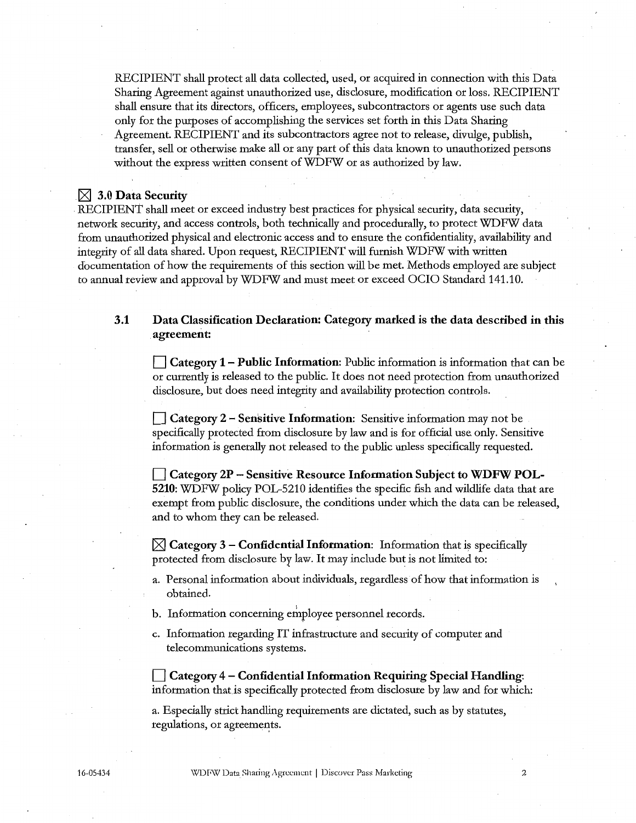RECIPIENT shall protect all data collected, used, or acquired in connection with this Data Sharing Agreement against unauthorized use, disclosure, modification or loss. RECIPIENT shall ensure that its directors, officers, employees, subcontractors or agents use such data only for the purposes of accomplishing the services set forth in this Data Sharing Agreement. RECIPIENT and its subcontractors agree not to release, divulge, publish, transfer, sell or otherwise make all or any part of this data known to unauthorized persons without the express written consent of WDFW or as authorized by law.

## $\boxtimes$  3.0 Data Security

RECIPIENT shall meet or exceed industry best practices for physical security, data security, network security, and access controls, both technically and procedurally, to protect WDFW data from unauthorized physical and electronic access and to ensure the confidentiality, availability and integrity of all data shared. Upon request, RECIPIENT will furnish WDFW with written documentation of how the requirements of this section will be met. Methods employed are subject to annual review and approval by WDFW and must meet or exceed OCIO Standard 141.10.

## **3.1 Data Classification Declaration: Category marked is the data described in this agreement:**

**D Category 1 – Public Information**: Public information is information that can be or currently is released to the public. It does not need protection from unauthorized disclosure, but does need integrity and availability protection controls.

**D Category 2 – Sensitive Information:** Sensitive information may not be specifically protected from disclosure by law and is for official use only. Sensitive information is generally not released to the public unless specifically requested.

**D Category 2P - Sensitive Resource Information Subject to WDFW POL-5210:** WDFW policy POL-5210 identifies the specific fish and wildlife data that are exempt from public disclosure, the conditions under which the data can be released, and to whom they can be released.

 $\bowtie$  **Category 3 – Confidential Information**: Information that is specifically protected from disclosure by law. It may include but is not limited to:

- a. Personal information about individuals, regardless· of how that information is obtained.
- b. Information concerning employee personnel records.
- c. Information regarding IT infrastructure and security of computer and telecommunications systems.

**D Category 4 - Confidential Information Requiring Special Handling:**  information that.is specifically protected from disclosure by law and for which:

a. Especially strict handling requirements are dictated, such as by statutes, regulations, or agreements.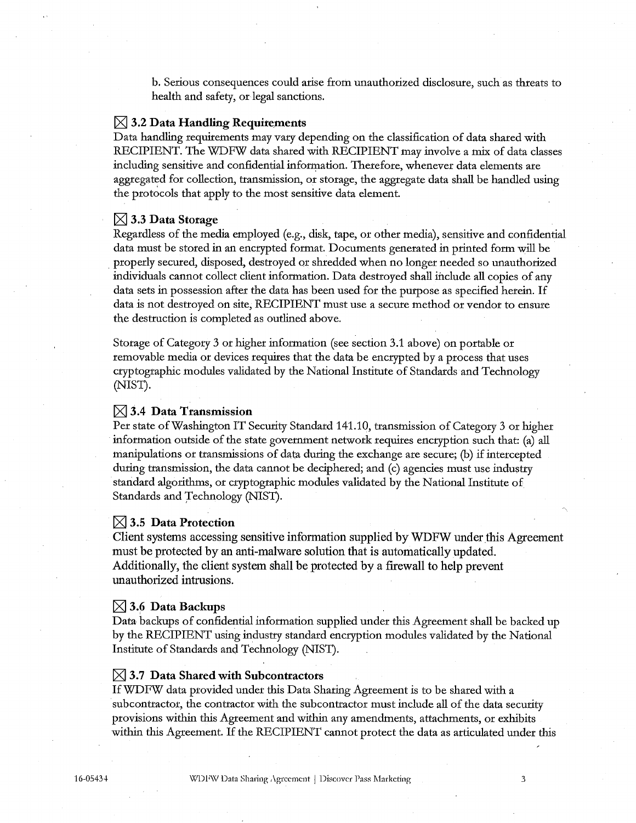b. Serious consequences could arise from unauthorized disclosure, such as threats to health and safety, or legal sanctions.

## $\boxtimes$  3.2 Data Handling Requirements

Data handling requirements may vary depending on the classification of data shared with RECIPIENT. The WDFW data shared with RECIPIENT may involve a mix of data classes including sensitive and confidential information. Therefore, whenever data elements are aggregated for collection, transmission, or storage, the aggregate data shall be handled using the protocols that apply to the most sensitive data element.

#### IZI **3.3 Data Storage**

Regardless of the media employed (e.g., disk, tape, or other media), sensitive and confidential data must be stored in an encrypted format. Documents generated in printed form will be . properly secured, disposed, destroyed or shredded when no longer needed so unauthorized individuals cannot collect client information. Data destroyed shall :include all copies of any data sets in possession after the data has been used for the purpose as specified herein. If data is not destroyed on site, RECIPIENT must use a secure method or vendor to ensure the destruction is completed as outlined above.

Storage of Category 3 or higher information (see section 3.1 above) on portable or removable media or devices requires that the data be encrypted by a process that uses cryptographic modules validated by the National Institute of Standards and Technology (NIST).

### $\boxtimes$  3.4 Data Transmission

Per state of Washington IT Security Standard 141.10, transmission of Category 3 or higher information outside of the state government network requires encryption such that: (a) all manipulations or transmissions of data during the exchange are secure; (b) if intercepted during transmission, the data cannot be deciphered; and (c) agencies must use industry standard algorithms, or cryptographic modules validated by the National Institute of Standards and Technology (NIST).

## $\boxtimes$  3.5 Data Protection

Client systems accessing sensitive information supplied by WDFW under this Agreement must be protected by an anti-malware solution that is automatically updated. Additionally, the client system shall be protected by a firewall to help prevent unauthorized intrusions.

#### $\boxtimes$  3.6 Data Backups

Data backups of confidential information supplied under this Agreement shall be backed up by the RECIPIENT using industry standard encryption modules validated by the National Institute of Standards and Technology (NIST).

#### $\boxtimes$  3.7 Data Shared with Subcontractors

IfWDFW data provided under this Data Sharing Agreement is to be shared with a subcontractor, the contractor with the subcontractor must include all of the data security provisions within this Agreement and within any amendments, attachments, or exhibits within this Agreement. If the RECIPIENT cannot protect the data as articulated under this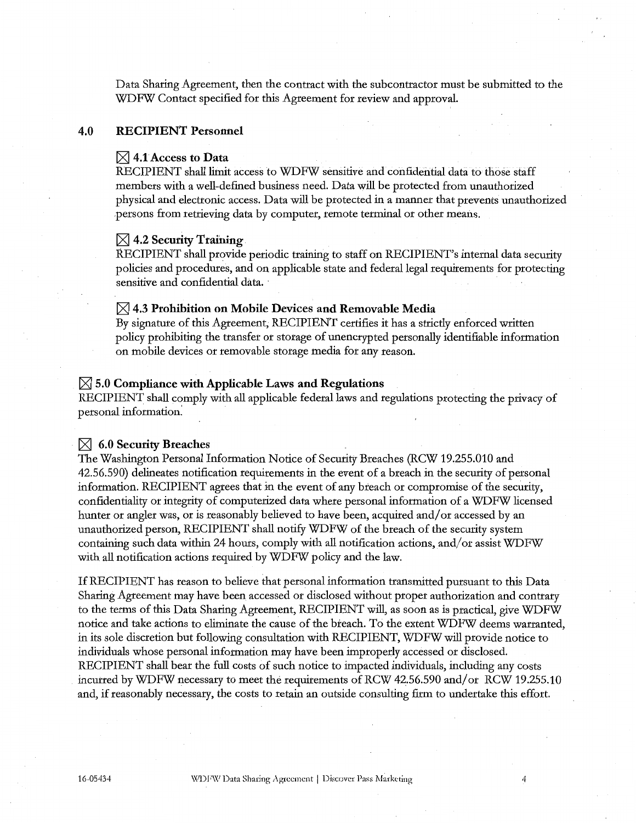Data Sharing Agreement, then the contract with the subcontractor must be submitted *to* the WDFW Contact specified for this Agreement for review and approval.

#### **4.0 RECIPIENT Personnel**

#### $\boxtimes$  4.1 Access to Data

RECIPIENT shall limit access *to* WDFW sensitive and confidential data fo those staff members with a well-defined business need. Data will be protected from unauthorized physical and electronic access. Data will be protected in a manner that prevents unauthorized .persons from retrieving data by computer, remote terminal or other means.

#### $[3]$  4.2 Security Training

RECIPIENT shall provide periodic training to staff on RECIPIENT's internal data security policies and procedures, and on applicable state and federal legal requirements for protecting sensitive and confidential data.

## [8'.I **4.3 Prohibition on Mobile Devices and Removable Media**

By signature of this Agreement, RECIPIENT certifies it has a strictly enforced written policy prohibiting the transfer or storage of unencrypted personally identifiable information on mobile devices or removable storage media for any reason.

#### $[8]$  5.0 Compliance with Applicable Laws and Regulations

RECIPIENT shall comply with all applicable federal laws and regulations protecting the privacy of personal information:

#### [8'.I **6.0 Security Breaches**

The Washington Personal Information Notice of Security Breaches (RCW 19.255.010 and 42.56.590) delineates notification requirements in the event of a breach in the security of personal information. RECIPIENT agrees that in the event of any breach or compromise of the security, confidentiality or integrity of computerized data where personal information of a WDFW licensed hunter or angler was, or is reasonably believed to have been, acquired and/ or accessed by an unauthorized person, RECIPIENT shall notify WDFW of the breach of the security system containing such data within 24 hours, comply with all notification actions, and/ or assist WDFW with all notification actions required by WDFW policy and the law.

If RECIPIENT has reason to believe that personal information transmitted pursuant to this Data Sharing Agreement may have been accessed or disclosed without proper authorization and contrary to the terms of this Data Sharing Agreement, RECIPIENT will, as soon as is practical, give WDFW notice and take actions to eliminate the cause of the breach. To the extent WDFW deems warranted, in its sole discretion but following consultation with RECIPIENT, WDFW will provide notice to individuals whose personal information may have been improperly accessed or disclosed. RECIPIENT shall bear the full costs of such notice to impacted individuals, including any costs incurred by WDFW necessary to meet the requirements of RCW 42.56.590 and/or RCW 19.255.10 and, if reasonably necessary, the costs to retain an outside consulting firm *to* undertake this effort.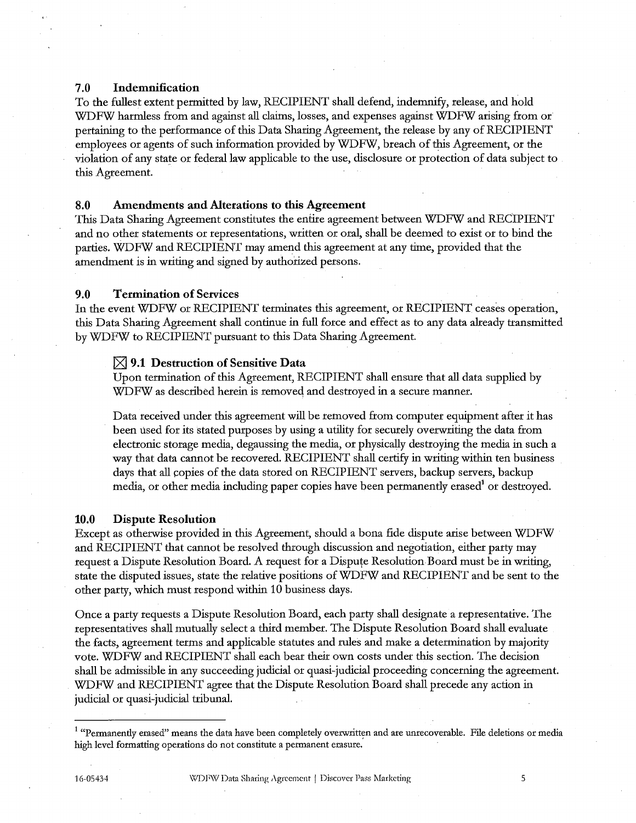#### 7 .0 Indemnification

To the fullest extent permitted by law, RECIPIENT shall defend, indemnify, release, and hold WDFW harmless from and against all claims, losses, and expenses against WDFW arising from or pertaining to the performance of this Data Sharing Agreement, the release by any of RECIPIENT employees or agents of such information provided by WDFW, breach of this Agreement, or the violation of any state or federal law applicable to the use, disclosure or protection of data subject to this Agreement.

## 8.0 Amendments and Alterations to this Agreement

This Data Sharing Agreement constitutes the entire agreement between WDFW and RECIPIENT and no other statements or representations, written or oral, shall be deemed to exist or to bind the parties. WDFW and RECIPIENT may amend this agreement at any time, provided that the amendment is in writing and signed by authorized persons.

#### 9.0 Termination of Services

In the event WDFW or RECIPIENT terminates this agreement, or RECIPIENT ceases operation, this Data Sharing Agreement shall continue in full force and effect as to any data already transmitted by WDFW to RECIPIENT pursuant to this Data Sharing Agreement.

#### $\boxtimes$  9.1 Destruction of Sensitive Data

Upon termination of this Agreement, RECIPIENT shall ensure that all data supplied by WDFW as described herein is removed and destroyed in a secure manner.

Data received under this agreement will be removed from computer equipment after it has been used for its stated purposes by using a utility for securely overwriting the data from electronic storage media, degaussing the media, or physically destroying the media in such a way that data cannot be recovered. RECIPIENT shall certify in writing within ten business days that all copies of the data stored on RECIPIENT servers, backup servers, backup media, or other media including paper copies have been permanently erased<sup>1</sup> or destroyed.

#### 10.0 Dispute Resolution

Except as otherwise provided in this Agreement, should a bona fide dispute arise between WDFW and RECIPIENT that cannot be resolved through discussion and negotiation, either party may request a Dispute Resolution Board. A request for a Dispute Resolution Board must be in writing, state the disputed issues, state the relative positions ofWDFW and RECIPIENT and be sent to the other party, which must respond within 10 business days.

Once a party requests a Dispute Resolution Board, each party shall designate a representative. The representatives shall mutually select a third member. The Dispute Resolution Board shall evaluate the facts, agreement terms and applicable statutes and rules and make a determination by majority vote. WDFW and RECIPIENT shall each bear their own costs under this section. The decision shall be admissible in any succeeding judicial or quasi-judicial proceeding concerning the agreement. WDFW and RECIPIENT agree that the Dispute Resolution Board shall precede any action in judicial or quasi-judicial tribunal.

<sup>&</sup>lt;sup>1</sup> "Permanently erased" means the data have been completely overwritten and are unrecoverable. File deletions or media high level formatting operations do not constitute a permanent erasure.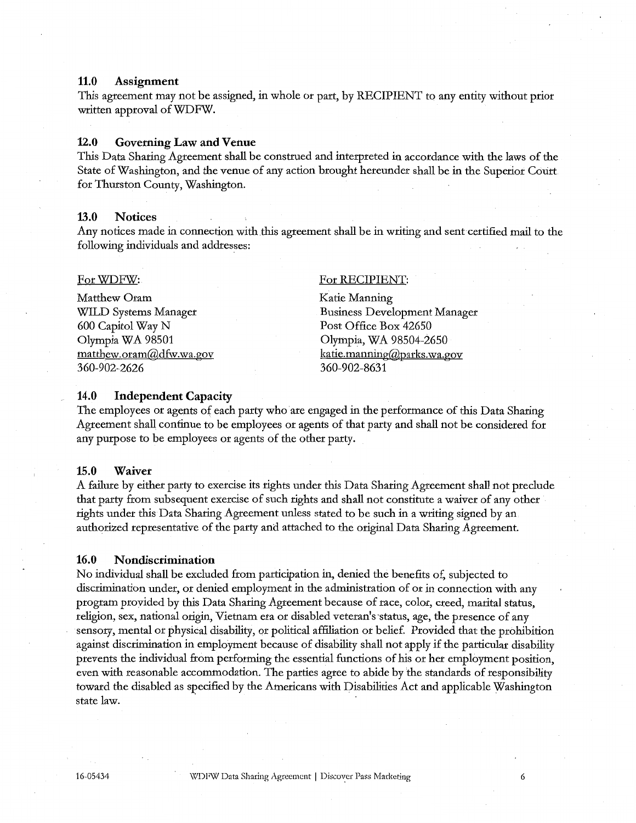### **11.0 Assignment**

This agreement may not be assigned, in whole or part, by RECIPIENT to any entity without prior written approval of WDFW.

#### **12.0 Governing Law and Venue**

This Data Sharing Agreement shall be construed and interpreted in accordance with the laws of the State of Washington, and the venue of any action brought hereunder shall be in the Superior Cotirt for Thurston County, Washington.

#### **13.0 Notices**

Any notices made in connection with this agreement shall be in writing and sent certified mail to the following individuals and addresses:

#### For WDFW:

Matthew Oram WILD Systems Manager 600 Capitol Way N Olympia WA 98501 matthew.oram@dfw.wa.gov 360-902-2626

#### For RECIPIENT:

Katie Manning Business Development Manager Post Office Box 42650 Olympia, WA 98504-2650 katie.manning@parks.wa.gov 360-902-8631

#### **14.0 Independent Capacity**

The employees or agents of each party who are engaged in the performance of this Data Sharing Agreement shall continue to be employees or agents of that party and shall not be considered for any purpose to be employees or agents of the other party.

#### **15.0 Waiver**

A failure by either party to exercise its rights under this Data Sharing Agreement shall not preclude that party from subsequent exercise of such rights and shall not constitute a waiver of any other rights under this Data Sharing Agreement unless stated to be such in a writing signed by an authorized representative of the party and attached to the original Data Sharing Agreement.

#### **16.0 Nondiscrimination**

No individual shall be excluded from participation in, denied the benefits of, subjected to discrimination under, or denied employment in the administration of or in connection with any program provided by this Data Sharing Agreement because of race, color, creed, marital status, religion, sex, national origin, Vietnam era or disabled veteran's status, age, the presence of any sensory, mental or physical disability, or political affiliation or belief. Provided that the prohibition against discrimination in employment because of disability shall not apply if the particular disability prevents the individual from performing the essential functions of his or her employment position, even with reasonable accommodation. The parties agree to abide by the standards of responsibility toward the disabled as specified by the Americans with Disabilities Act and applicable Washington state law.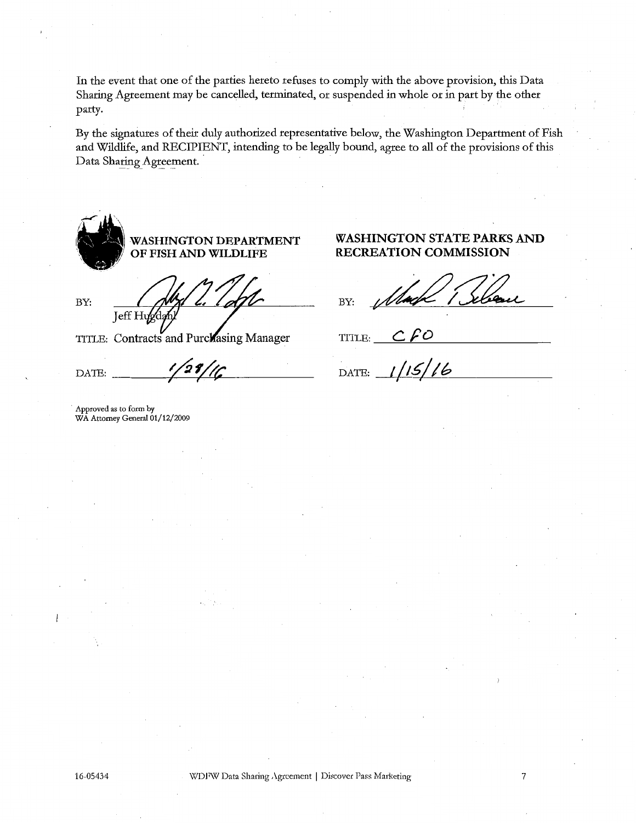In the event that one of the parties hereto refuses to comply with the above provision, this Data Sharing Agreement may be cancelled, terminated, or suspended in whole or in part by the other party.

By the signatures of their duly authorized representative below, the Washington Department of Fish and Wildlife, and RECIPIENT, intending to be legally bound, agree to all of the provisions of this Data Sharing Agreement.

ii."~ **WASHINGTON DEPARTMENT**  \ ,/ **OF FISH AND WILDLIFE** 

BY: **Jeff** H

TITLE: Contracts and Purclasing Manager

DATE:  $\frac{1}{29/16}$ 

Approved as to form by WA Attorney General 01/12/2009

## WASHINGTON STATE PARKS AND **RECREATION COMMISSION**

BY:

TITLE:  $CfO$ 

DATE:  $1/15/16$